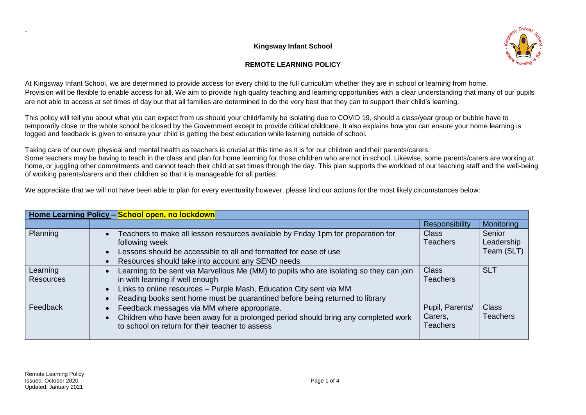## **Kingsway Infant School**





At Kingsway Infant School, we are determined to provide access for every child to the full curriculum whether they are in school or learning from home. Provision will be flexible to enable access for all. We aim to provide high quality teaching and learning opportunities with a clear understanding that many of our pupils are not able to access at set times of day but that all families are determined to do the very best that they can to support their child's learning.

This policy will tell you about what you can expect from us should your child/family be isolating due to COVID 19, should a class/year group or bubble have to temporarily close or the whole school be closed by the Government except to provide critical childcare. It also explains how you can ensure your home learning is logged and feedback is given to ensure your child is getting the best education while learning outside of school.

Taking care of our own physical and mental health as teachers is crucial at this time as it is for our children and their parents/carers. Some teachers may be having to teach in the class and plan for home learning for those children who are not in school. Likewise, some parents/carers are working at home, or juggling other commitments and cannot teach their child at set times through the day. This plan supports the workload of our teaching staff and the well-being of working parents/carers and their children so that it is manageable for all parties.

We appreciate that we will not have been able to plan for every eventuality however, please find our actions for the most likely circumstances below:

| Home Learning Policy - School open, no lockdown |                                                                                                                                                                                                                                                                                   |                                               |                                    |  |  |  |
|-------------------------------------------------|-----------------------------------------------------------------------------------------------------------------------------------------------------------------------------------------------------------------------------------------------------------------------------------|-----------------------------------------------|------------------------------------|--|--|--|
|                                                 |                                                                                                                                                                                                                                                                                   | <b>Responsibility</b>                         | Monitoring                         |  |  |  |
| Planning                                        | Teachers to make all lesson resources available by Friday 1pm for preparation for<br>following week<br>Lessons should be accessible to all and formatted for ease of use<br>Resources should take into account any SEND needs                                                     | <b>Class</b><br>Teachers                      | Senior<br>Leadership<br>Team (SLT) |  |  |  |
| Learning<br><b>Resources</b>                    | Learning to be sent via Marvellous Me (MM) to pupils who are isolating so they can join<br>in with learning if well enough<br>Links to online resources - Purple Mash, Education City sent via MM<br>Reading books sent home must be quarantined before being returned to library | <b>Class</b><br><b>Teachers</b>               | <b>SLT</b>                         |  |  |  |
| Feedback                                        | Feedback messages via MM where appropriate.<br>Children who have been away for a prolonged period should bring any completed work<br>to school on return for their teacher to assess                                                                                              | Pupil, Parents/<br>Carers,<br><b>Teachers</b> | <b>Class</b><br>Teachers           |  |  |  |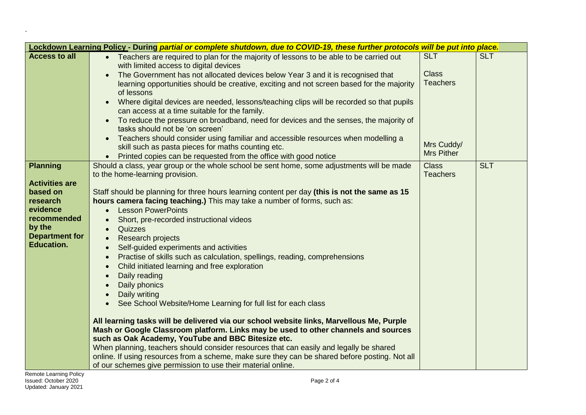| Lockdown Learning Policy - During partial or complete shutdown, due to COVID-19, these further protocols will be put into place. |                                                                                                                                                                                |                   |            |  |
|----------------------------------------------------------------------------------------------------------------------------------|--------------------------------------------------------------------------------------------------------------------------------------------------------------------------------|-------------------|------------|--|
| <b>Access to all</b>                                                                                                             | • Teachers are required to plan for the majority of lessons to be able to be carried out                                                                                       | <b>SLT</b>        | <b>SLT</b> |  |
|                                                                                                                                  | with limited access to digital devices                                                                                                                                         |                   |            |  |
|                                                                                                                                  | The Government has not allocated devices below Year 3 and it is recognised that<br>$\bullet$                                                                                   | <b>Class</b>      |            |  |
|                                                                                                                                  | learning opportunities should be creative, exciting and not screen based for the majority                                                                                      | <b>Teachers</b>   |            |  |
|                                                                                                                                  | of lessons                                                                                                                                                                     |                   |            |  |
|                                                                                                                                  | Where digital devices are needed, lessons/teaching clips will be recorded so that pupils<br>$\bullet$                                                                          |                   |            |  |
|                                                                                                                                  | can access at a time suitable for the family.                                                                                                                                  |                   |            |  |
|                                                                                                                                  | To reduce the pressure on broadband, need for devices and the senses, the majority of                                                                                          |                   |            |  |
|                                                                                                                                  | tasks should not be 'on screen'                                                                                                                                                |                   |            |  |
|                                                                                                                                  | Teachers should consider using familiar and accessible resources when modelling a<br>skill such as pasta pieces for maths counting etc.                                        | Mrs Cuddy/        |            |  |
|                                                                                                                                  | Printed copies can be requested from the office with good notice                                                                                                               | <b>Mrs Pither</b> |            |  |
| <b>Planning</b>                                                                                                                  | Should a class, year group or the whole school be sent home, some adjustments will be made                                                                                     | <b>Class</b>      | <b>SLT</b> |  |
|                                                                                                                                  | to the home-learning provision.                                                                                                                                                | <b>Teachers</b>   |            |  |
| <b>Activities are</b>                                                                                                            |                                                                                                                                                                                |                   |            |  |
| based on                                                                                                                         | Staff should be planning for three hours learning content per day (this is not the same as 15                                                                                  |                   |            |  |
| research                                                                                                                         | hours camera facing teaching.) This may take a number of forms, such as:                                                                                                       |                   |            |  |
| evidence                                                                                                                         | <b>Lesson PowerPoints</b>                                                                                                                                                      |                   |            |  |
| recommended                                                                                                                      | Short, pre-recorded instructional videos                                                                                                                                       |                   |            |  |
| by the                                                                                                                           | Quizzes<br>$\bullet$                                                                                                                                                           |                   |            |  |
| <b>Department for</b>                                                                                                            | Research projects<br>$\bullet$                                                                                                                                                 |                   |            |  |
| <b>Education.</b>                                                                                                                | Self-guided experiments and activities                                                                                                                                         |                   |            |  |
|                                                                                                                                  | Practise of skills such as calculation, spellings, reading, comprehensions<br>$\bullet$                                                                                        |                   |            |  |
|                                                                                                                                  | Child initiated learning and free exploration<br>$\bullet$                                                                                                                     |                   |            |  |
|                                                                                                                                  | Daily reading                                                                                                                                                                  |                   |            |  |
|                                                                                                                                  | Daily phonics                                                                                                                                                                  |                   |            |  |
|                                                                                                                                  | Daily writing                                                                                                                                                                  |                   |            |  |
|                                                                                                                                  | See School Website/Home Learning for full list for each class<br>$\bullet$                                                                                                     |                   |            |  |
|                                                                                                                                  |                                                                                                                                                                                |                   |            |  |
|                                                                                                                                  | All learning tasks will be delivered via our school website links, Marvellous Me, Purple<br>Mash or Google Classroom platform. Links may be used to other channels and sources |                   |            |  |
|                                                                                                                                  | such as Oak Academy, YouTube and BBC Bitesize etc.                                                                                                                             |                   |            |  |
|                                                                                                                                  | When planning, teachers should consider resources that can easily and legally be shared                                                                                        |                   |            |  |
|                                                                                                                                  | online. If using resources from a scheme, make sure they can be shared before posting. Not all                                                                                 |                   |            |  |
|                                                                                                                                  | of our schemes give permission to use their material online.                                                                                                                   |                   |            |  |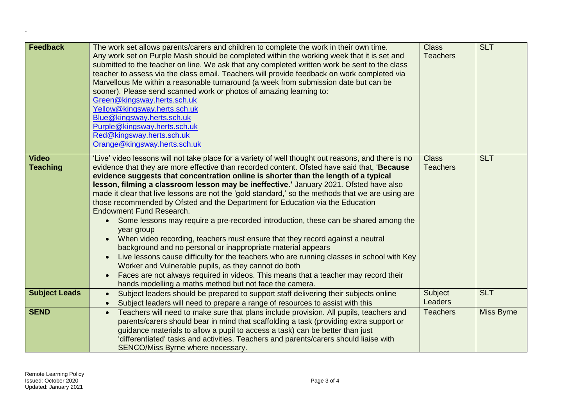| <b>Feedback</b>                 | The work set allows parents/carers and children to complete the work in their own time.<br>Any work set on Purple Mash should be completed within the working week that it is set and<br>submitted to the teacher on line. We ask that any completed written work be sent to the class<br>teacher to assess via the class email. Teachers will provide feedback on work completed via<br>Marvellous Me within a reasonable turnaround (a week from submission date but can be<br>sooner). Please send scanned work or photos of amazing learning to:<br>Green@kingsway.herts.sch.uk<br>Yellow@kingsway.herts.sch.uk<br>Blue@kingsway.herts.sch.uk<br>Purple@kingsway.herts.sch.uk<br>Red@kingsway.herts.sch.uk<br>Orange@kingsway.herts.sch.uk                                                                                                                                                                                                                                                                                                                                                                                                                                                        | <b>Class</b><br><b>Teachers</b> | <b>SLT</b> |
|---------------------------------|-------------------------------------------------------------------------------------------------------------------------------------------------------------------------------------------------------------------------------------------------------------------------------------------------------------------------------------------------------------------------------------------------------------------------------------------------------------------------------------------------------------------------------------------------------------------------------------------------------------------------------------------------------------------------------------------------------------------------------------------------------------------------------------------------------------------------------------------------------------------------------------------------------------------------------------------------------------------------------------------------------------------------------------------------------------------------------------------------------------------------------------------------------------------------------------------------------|---------------------------------|------------|
| <b>Video</b><br><b>Teaching</b> | 'Live' video lessons will not take place for a variety of well thought out reasons, and there is no<br>evidence that they are more effective than recorded content. Ofsted have said that, 'Because<br>evidence suggests that concentration online is shorter than the length of a typical<br>lesson, filming a classroom lesson may be ineffective.' January 2021. Ofsted have also<br>made it clear that live lessons are not the 'gold standard,' so the methods that we are using are<br>those recommended by Ofsted and the Department for Education via the Education<br><b>Endowment Fund Research.</b><br>Some lessons may require a pre-recorded introduction, these can be shared among the<br>year group<br>When video recording, teachers must ensure that they record against a neutral<br>$\bullet$<br>background and no personal or inappropriate material appears<br>Live lessons cause difficulty for the teachers who are running classes in school with Key<br>Worker and Vulnerable pupils, as they cannot do both<br>Faces are not always required in videos. This means that a teacher may record their<br>$\bullet$<br>hands modelling a maths method but not face the camera. | <b>Class</b><br><b>Teachers</b> | <b>SLT</b> |
| <b>Subject Leads</b>            | Subject leaders should be prepared to support staff delivering their subjects online<br>$\bullet$<br>Subject leaders will need to prepare a range of resources to assist with this                                                                                                                                                                                                                                                                                                                                                                                                                                                                                                                                                                                                                                                                                                                                                                                                                                                                                                                                                                                                                    | Subject<br><b>Leaders</b>       | <b>SLT</b> |
| <b>SEND</b>                     | Teachers will need to make sure that plans include provision. All pupils, teachers and<br>$\bullet$<br>parents/carers should bear in mind that scaffolding a task (providing extra support or<br>guidance materials to allow a pupil to access a task) can be better than just<br>'differentiated' tasks and activities. Teachers and parents/carers should liaise with<br>SENCO/Miss Byrne where necessary.                                                                                                                                                                                                                                                                                                                                                                                                                                                                                                                                                                                                                                                                                                                                                                                          | <b>Teachers</b>                 | Miss Byrne |